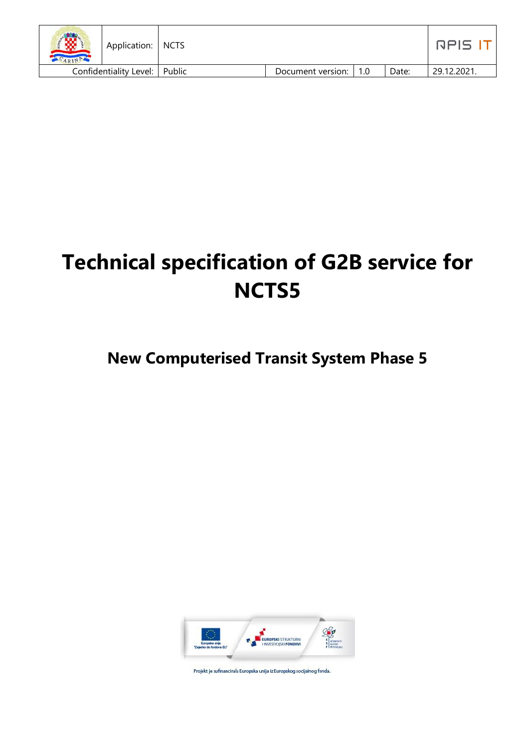| Application:<br>ARINA           | <b>NCTS</b> |                         |       | ו בוםח     |
|---------------------------------|-------------|-------------------------|-------|------------|
| Confidentiality Level:   Public |             | Document version:   1.0 | Date: | 29.12.2021 |

# **Technical specification of G2B service for NCTS5**

# **New Computerised Transit System Phase 5**



Projekt je sufinancirala Europska unija iz Europskog socijalnog fonda.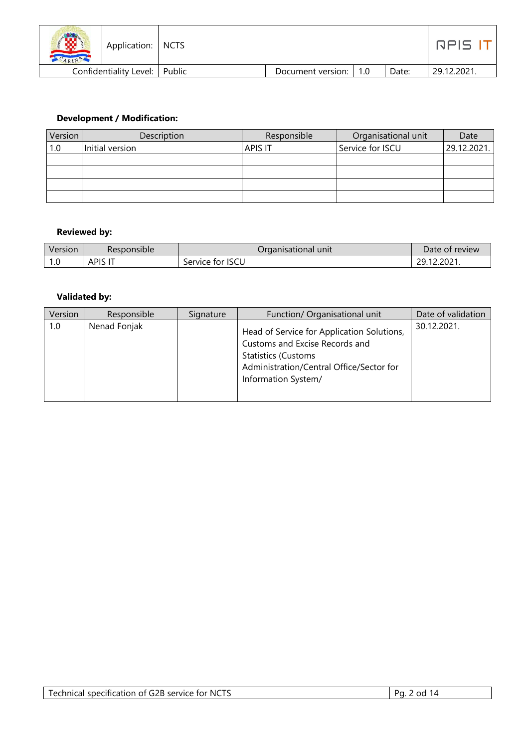| 13<br>ARIN | Application:   NCTS    |        |                       |       | nels i     |
|------------|------------------------|--------|-----------------------|-------|------------|
|            | Confidentiality Level: | Public | Document version: 1.0 | Date: | 29.12.2021 |

#### **Development / Modification:**

| Version | Description     | Responsible    | Organisational unit | Date        |
|---------|-----------------|----------------|---------------------|-------------|
| 1.0     | Initial version | <b>APIS IT</b> | Service for ISCU    | 29.12.2021. |
|         |                 |                |                     |             |
|         |                 |                |                     |             |
|         |                 |                |                     |             |
|         |                 |                |                     |             |

#### **Reviewed by:**

| Version         | Responsible | Draanisational unit l | Date of review |
|-----------------|-------------|-----------------------|----------------|
| $\sim$<br>. . U | <b>APIS</b> | Service for ISCU      | 29.12.2021.    |

#### **Validated by:**

| Version | Responsible  | Signature | Function/ Organisational unit                                                                                                                                                 | Date of validation |
|---------|--------------|-----------|-------------------------------------------------------------------------------------------------------------------------------------------------------------------------------|--------------------|
| 1.0     | Nenad Fonjak |           | Head of Service for Application Solutions,<br>Customs and Excise Records and<br><b>Statistics (Customs</b><br>Administration/Central Office/Sector for<br>Information System/ | 30.12.2021.        |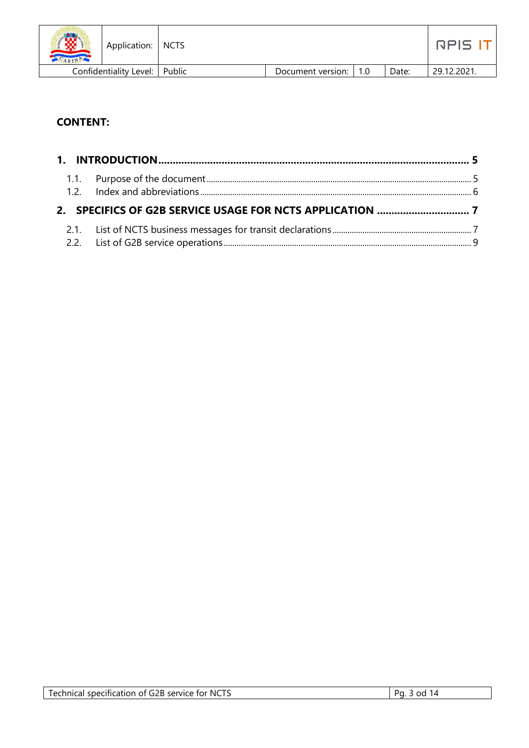| 像<br>ARIN | Application:   NCTS             |                   |       | RPIS '     |
|-----------|---------------------------------|-------------------|-------|------------|
|           | Confidentiality Level:   Public | Document version: | Date: | 29.12.2021 |

# **CONTENT:**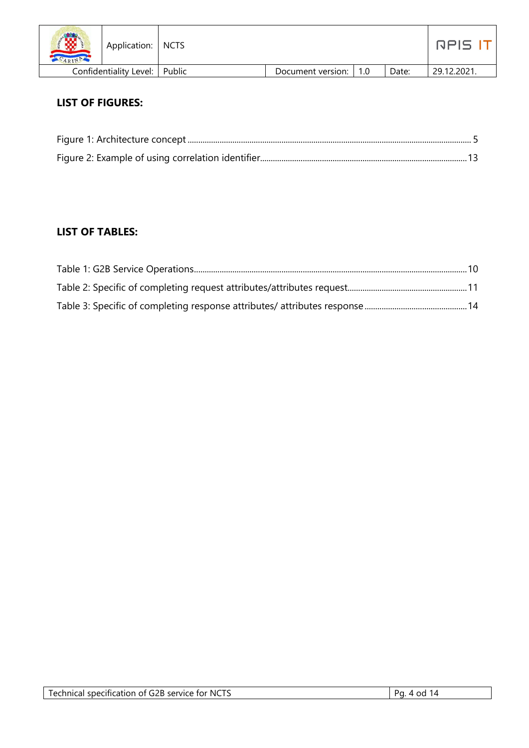| /赞<br>$-APIP$ | Application:                    | I NCTS |                   |     |       | nels '     |
|---------------|---------------------------------|--------|-------------------|-----|-------|------------|
|               | Confidentiality Level:   Public |        | Document version: | 1.0 | Date: | 29.12.2021 |

## **LIST OF FIGURES:**

## **LIST OF TABLES:**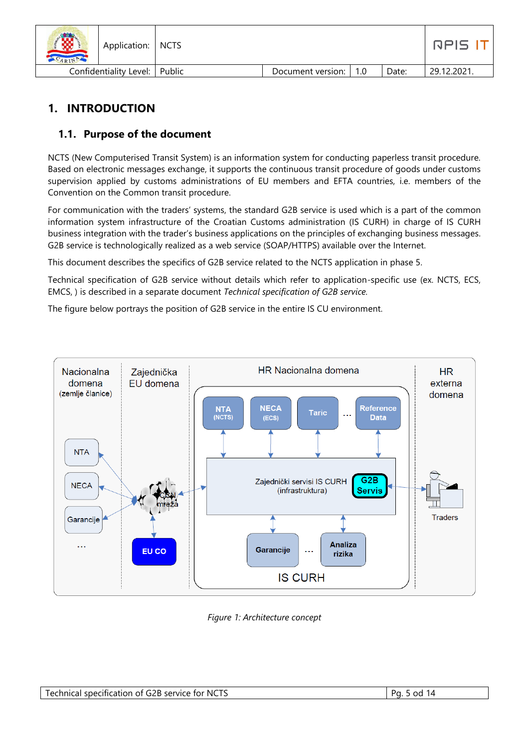| 微<br>ARIP | Application:           | I NCTS |                   |             |       | <b>GPIS</b> |
|-----------|------------------------|--------|-------------------|-------------|-------|-------------|
|           | Confidentiality Level: | Public | Document version: | $\vert$ 1.0 | Date: | 29.12.2021. |

# <span id="page-4-0"></span>**1. INTRODUCTION**

#### <span id="page-4-1"></span>**1.1. Purpose of the document**

NCTS (New Computerised Transit System) is an information system for conducting paperless transit procedure. Based on electronic messages exchange, it supports the continuous transit procedure of goods under customs supervision applied by customs administrations of EU members and EFTA countries, i.e. members of the Convention on the Common transit procedure.

For communication with the traders' systems, the standard G2B service is used which is a part of the common information system infrastructure of the Croatian Customs administration (IS CURH) in charge of IS CURH business integration with the trader's business applications on the principles of exchanging business messages. G2B service is technologically realized as a web service (SOAP/HTTPS) available over the Internet.

This document describes the specifics of G2B service related to the NCTS application in phase 5.

Technical specification of G2B service without details which refer to application-specific use (ex. NCTS, ECS, EMCS, ) is described in a separate document *Technical specification of G2B service.*

The figure below portrays the position of G2B service in the entire IS CU environment.



*Figure 1: Architecture concept*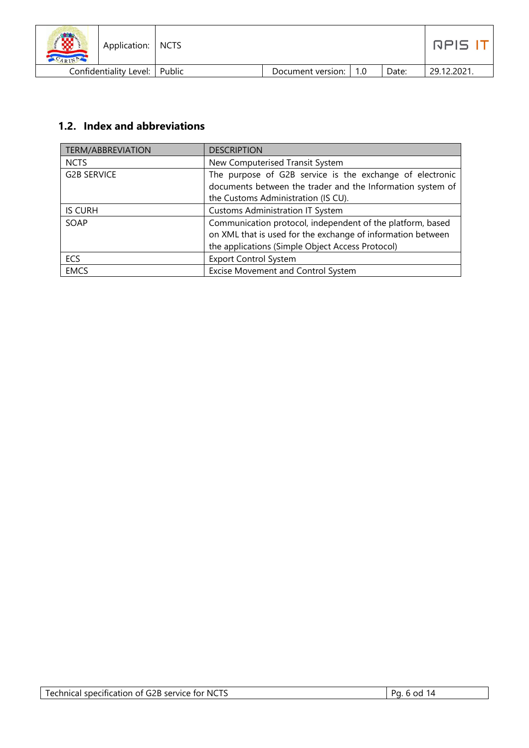| <b>SPACE</b><br>⊗<br>Application:   NCTS<br>ARIN |                   |     |       | RPIS I      |
|--------------------------------------------------|-------------------|-----|-------|-------------|
| Confidentiality Level:   Public                  | Document version: | 1.0 | Date: | 29.12.2021. |

# <span id="page-5-0"></span>**1.2. Index and abbreviations**

| <b>TERM/ABBREVIATION</b> | <b>DESCRIPTION</b>                                                                                                     |
|--------------------------|------------------------------------------------------------------------------------------------------------------------|
| <b>NCTS</b>              | New Computerised Transit System                                                                                        |
| <b>G2B SERVICE</b>       | The purpose of G2B service is the exchange of electronic<br>documents between the trader and the Information system of |
|                          | the Customs Administration (IS CU).                                                                                    |
| <b>IS CURH</b>           | <b>Customs Administration IT System</b>                                                                                |
| SOAP                     | Communication protocol, independent of the platform, based                                                             |
|                          | on XML that is used for the exchange of information between                                                            |
|                          | the applications (Simple Object Access Protocol)                                                                       |
| <b>ECS</b>               | <b>Export Control System</b>                                                                                           |
| <b>EMCS</b>              | Excise Movement and Control System                                                                                     |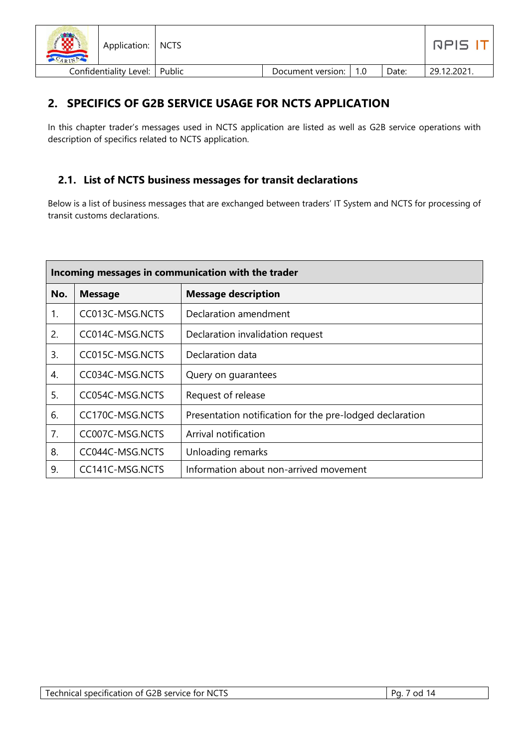| <b>COPP</b><br>Application:   NCTS |                   |       | RPIS I      |
|------------------------------------|-------------------|-------|-------------|
| Confidentiality Level:   Public    | Document version: | Date: | 29.12.2021. |

# <span id="page-6-0"></span>**2. SPECIFICS OF G2B SERVICE USAGE FOR NCTS APPLICATION**

In this chapter trader's messages used in NCTS application are listed as well as G2B service operations with description of specifics related to NCTS application.

#### <span id="page-6-1"></span>**2.1. List of NCTS business messages for transit declarations**

Below is a list of business messages that are exchanged between traders' IT System and NCTS for processing of transit customs declarations.

|     | Incoming messages in communication with the trader |                                                          |  |  |  |
|-----|----------------------------------------------------|----------------------------------------------------------|--|--|--|
| No. | <b>Message</b>                                     | <b>Message description</b>                               |  |  |  |
| 1.  | CC013C-MSG.NCTS                                    | Declaration amendment                                    |  |  |  |
| 2.  | CC014C-MSG.NCTS                                    | Declaration invalidation request                         |  |  |  |
| 3.  | CC015C-MSG.NCTS                                    | Declaration data                                         |  |  |  |
| 4.  | CC034C-MSG.NCTS                                    | Query on guarantees                                      |  |  |  |
| 5.  | CC054C-MSG.NCTS                                    | Request of release                                       |  |  |  |
| 6.  | CC170C-MSG.NCTS                                    | Presentation notification for the pre-lodged declaration |  |  |  |
| 7.  | CC007C-MSG.NCTS                                    | Arrival notification                                     |  |  |  |
| 8.  | CC044C-MSG.NCTS                                    | Unloading remarks                                        |  |  |  |
| 9.  | CC141C-MSG.NCTS                                    | Information about non-arrived movement                   |  |  |  |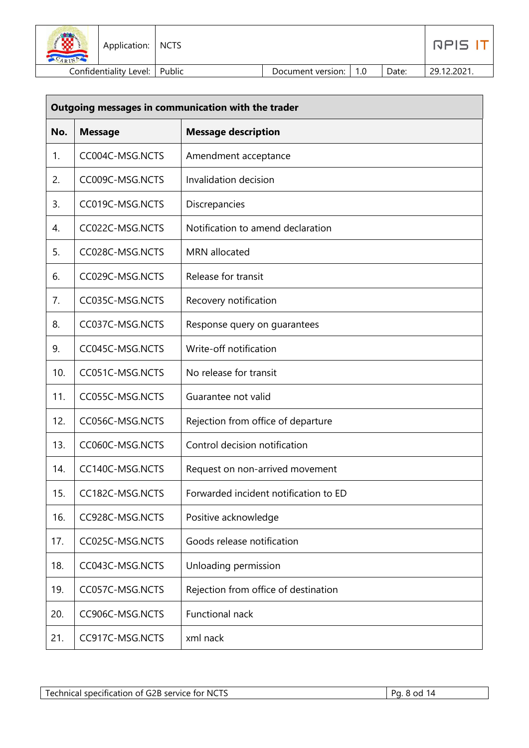| 13<br><b>SARINAL</b> | Application:   NCTS             |                   |       | <b>RPIS</b> |
|----------------------|---------------------------------|-------------------|-------|-------------|
|                      | Confidentiality Level:   Public | Document version: | Date: | 29.12.2021. |

|     | Outgoing messages in communication with the trader |                                       |  |  |
|-----|----------------------------------------------------|---------------------------------------|--|--|
| No. | <b>Message</b>                                     | <b>Message description</b>            |  |  |
| 1.  | CC004C-MSG.NCTS                                    | Amendment acceptance                  |  |  |
| 2.  | CC009C-MSG.NCTS                                    | Invalidation decision                 |  |  |
| 3.  | CC019C-MSG.NCTS                                    | Discrepancies                         |  |  |
| 4.  | CC022C-MSG.NCTS                                    | Notification to amend declaration     |  |  |
| 5.  | CC028C-MSG.NCTS                                    | MRN allocated                         |  |  |
| 6.  | CC029C-MSG.NCTS                                    | Release for transit                   |  |  |
| 7.  | CC035C-MSG.NCTS                                    | Recovery notification                 |  |  |
| 8.  | CC037C-MSG.NCTS                                    | Response query on guarantees          |  |  |
| 9.  | CC045C-MSG.NCTS                                    | Write-off notification                |  |  |
| 10. | CC051C-MSG.NCTS                                    | No release for transit                |  |  |
| 11. | CC055C-MSG.NCTS                                    | Guarantee not valid                   |  |  |
| 12. | CC056C-MSG.NCTS                                    | Rejection from office of departure    |  |  |
| 13. | CC060C-MSG.NCTS                                    | Control decision notification         |  |  |
| 14. | CC140C-MSG.NCTS                                    | Request on non-arrived movement       |  |  |
| 15. | CC182C-MSG.NCTS                                    | Forwarded incident notification to ED |  |  |
| 16. | CC928C-MSG.NCTS                                    | Positive acknowledge                  |  |  |
| 17. | CC025C-MSG.NCTS                                    | Goods release notification            |  |  |
| 18. | CC043C-MSG.NCTS                                    | Unloading permission                  |  |  |
| 19. | CC057C-MSG.NCTS                                    | Rejection from office of destination  |  |  |
| 20. | CC906C-MSG.NCTS                                    | Functional nack                       |  |  |
| 21. | CC917C-MSG.NCTS                                    | xml nack                              |  |  |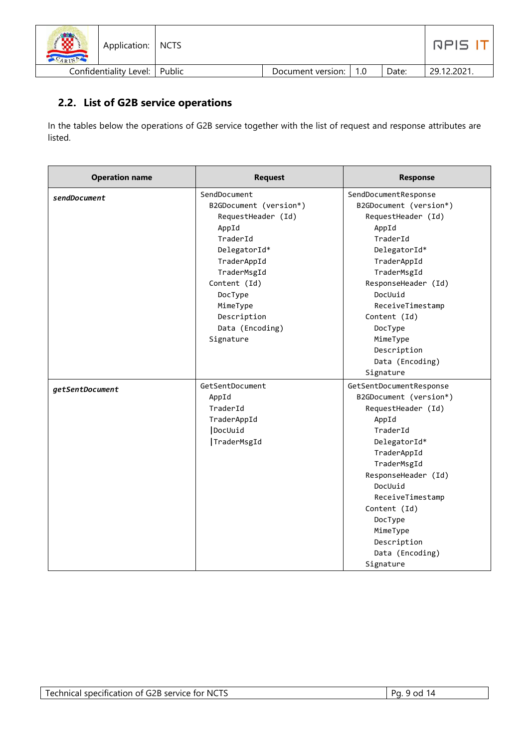| œ<br>Application:   NCTS<br>ARIN |                   |             |       | $\Box$ $\Box$ $\Box$ |
|----------------------------------|-------------------|-------------|-------|----------------------|
| Confidentiality Level:   Public  | Document version: | $\vert$ 1.0 | Date: | 29.12.2021.          |

#### <span id="page-8-0"></span>**2.2. List of G2B service operations**

In the tables below the operations of G2B service together with the list of request and response attributes are listed.

| <b>Operation name</b> | <b>Request</b>         | <b>Response</b>         |
|-----------------------|------------------------|-------------------------|
| sendDocument          | SendDocument           | SendDocumentResponse    |
|                       | B2GDocument (version*) | B2GDocument (version*)  |
|                       | RequestHeader (Id)     | RequestHeader (Id)      |
|                       | AppId                  | AppId                   |
|                       | TraderId               | TraderId                |
|                       | DelegatorId*           | DelegatorId*            |
|                       | TraderAppId            | TraderAppId             |
|                       | TraderMsgId            | TraderMsgId             |
|                       | Content (Id)           | ResponseHeader (Id)     |
|                       | DocType                | DocUuid                 |
|                       | MimeType               | ReceiveTimestamp        |
|                       | Description            | Content (Id)            |
|                       | Data (Encoding)        | DocType                 |
|                       | Signature              | MimeType                |
|                       |                        | Description             |
|                       |                        | Data (Encoding)         |
|                       |                        | Signature               |
| getSentDocument       | GetSentDocument        | GetSentDocumentResponse |
|                       | AppId                  | B2GDocument (version*)  |
|                       | TraderId               | RequestHeader (Id)      |
|                       | TraderAppId            | AppId                   |
|                       | DocUuid                | TraderId                |
|                       | TraderMsgId            | DelegatorId*            |
|                       |                        | TraderAppId             |
|                       |                        | TraderMsgId             |
|                       |                        | ResponseHeader (Id)     |
|                       |                        | DocUuid                 |
|                       |                        | ReceiveTimestamp        |
|                       |                        | Content (Id)            |
|                       |                        | DocType                 |
|                       |                        | MimeType                |
|                       |                        | Description             |
|                       |                        | Data (Encoding)         |
|                       |                        | Signature               |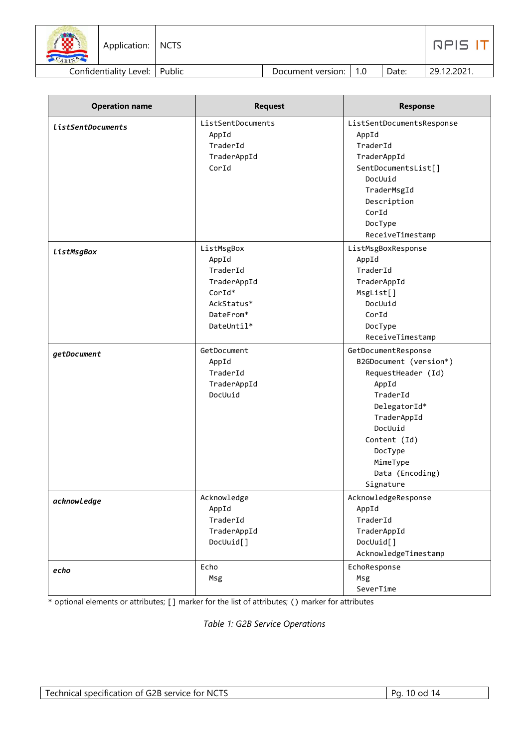| 18<br>ARIN | Application:   NCTS             |                   |        |       | RPIS I <sup>-</sup> |
|------------|---------------------------------|-------------------|--------|-------|---------------------|
|            | Confidentiality Level:   Public | Document version: | $-1.0$ | Date: | 29.12.2021.         |

| <b>Operation name</b> | <b>Request</b>    | <b>Response</b>           |
|-----------------------|-------------------|---------------------------|
| ListSentDocuments     | ListSentDocuments | ListSentDocumentsResponse |
|                       | AppId             | AppId                     |
|                       | TraderId          | TraderId                  |
|                       | TraderAppId       | TraderAppId               |
|                       | CorId             | SentDocumentsList[]       |
|                       |                   | DocUuid                   |
|                       |                   | TraderMsgId               |
|                       |                   | Description               |
|                       |                   | CorId                     |
|                       |                   | DocType                   |
|                       |                   | ReceiveTimestamp          |
| ListMsgBox            | ListMsgBox        | ListMsgBoxResponse        |
|                       | AppId             | AppId                     |
|                       | TraderId          | TraderId                  |
|                       | TraderAppId       | TraderAppId               |
|                       | $CorId*$          | MsgList[]                 |
|                       | AckStatus*        | DocUuid                   |
|                       | DateFrom*         | CorId                     |
|                       | DateUntil*        | DocType                   |
|                       |                   | ReceiveTimestamp          |
| getDocument           | GetDocument       | GetDocumentResponse       |
|                       | AppId             | B2GDocument (version*)    |
|                       | TraderId          | RequestHeader (Id)        |
|                       | TraderAppId       | AppId                     |
|                       | DocUuid           | TraderId                  |
|                       |                   | DelegatorId*              |
|                       |                   | TraderAppId               |
|                       |                   | DocUuid                   |
|                       |                   | Content (Id)              |
|                       |                   | DocType                   |
|                       |                   | MimeType                  |
|                       |                   | Data (Encoding)           |
|                       |                   | Signature                 |
| acknowledge           | Acknowledge       | AcknowledgeResponse       |
|                       | AppId             | AppId                     |
|                       | TraderId          | TraderId                  |
|                       | TraderAppId       | TraderAppId               |
|                       | DocUuid[]         | DocUuid[]                 |
|                       |                   | AcknowledgeTimestamp      |
| echo                  | Echo              | EchoResponse              |
|                       | Msg               | Msg                       |
|                       |                   | SeverTime                 |

\* optional elements or attributes; [] marker for the list of attributes; () marker for attributes

*Table 1: G2B Service Operations*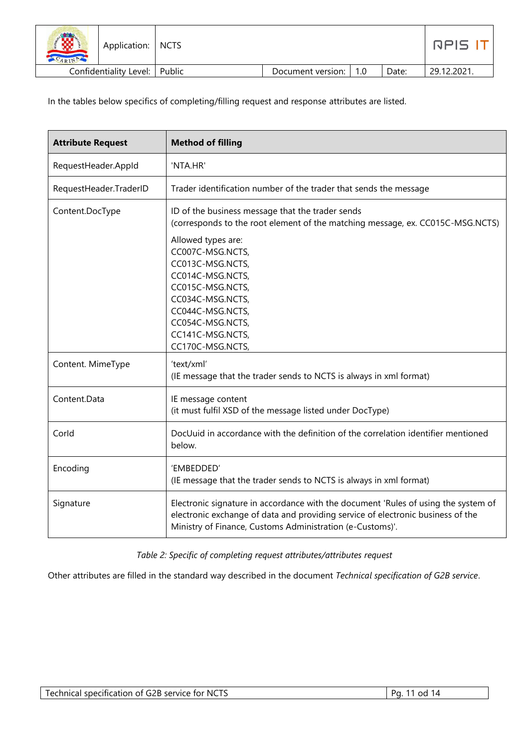| $\sum_{i=1}^{n}$<br>₩<br>ARIN | Application:           | <b>NCTS</b> |                   |     |       | nels "     |
|-------------------------------|------------------------|-------------|-------------------|-----|-------|------------|
|                               | Confidentiality Level: | Public      | Document version: | 1.0 | Date: | 29.12.2021 |

In the tables below specifics of completing/filling request and response attributes are listed.

| <b>Attribute Request</b> | <b>Method of filling</b>                                                                                                                                                                                                                                                                                                                     |
|--------------------------|----------------------------------------------------------------------------------------------------------------------------------------------------------------------------------------------------------------------------------------------------------------------------------------------------------------------------------------------|
| RequestHeader.AppId      | 'NTA.HR'                                                                                                                                                                                                                                                                                                                                     |
| RequestHeader.TraderID   | Trader identification number of the trader that sends the message                                                                                                                                                                                                                                                                            |
| Content.DocType          | ID of the business message that the trader sends<br>(corresponds to the root element of the matching message, ex. CC015C-MSG.NCTS)<br>Allowed types are:<br>CC007C-MSG.NCTS,<br>CC013C-MSG.NCTS,<br>CC014C-MSG.NCTS,<br>CC015C-MSG.NCTS,<br>CC034C-MSG.NCTS,<br>CC044C-MSG.NCTS,<br>CC054C-MSG.NCTS,<br>CC141C-MSG.NCTS,<br>CC170C-MSG.NCTS, |
| Content. MimeType        | 'text/xml'<br>(IE message that the trader sends to NCTS is always in xml format)                                                                                                                                                                                                                                                             |
| Content.Data             | IE message content<br>(it must fulfil XSD of the message listed under DocType)                                                                                                                                                                                                                                                               |
| Corld                    | DocUuid in accordance with the definition of the correlation identifier mentioned<br>below.                                                                                                                                                                                                                                                  |
| Encoding                 | 'EMBEDDED'<br>(IE message that the trader sends to NCTS is always in xml format)                                                                                                                                                                                                                                                             |
| Signature                | Electronic signature in accordance with the document 'Rules of using the system of<br>electronic exchange of data and providing service of electronic business of the<br>Ministry of Finance, Customs Administration (e-Customs)'.                                                                                                           |

*Table 2: Specific of completing request attributes/attributes request*

Other attributes are filled in the standard way described in the document *Technical specification of G2B service*.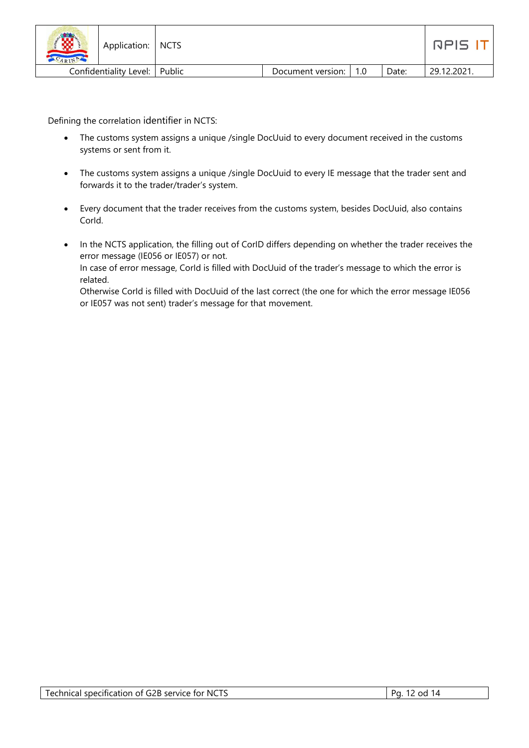| 150<br>ARIN | Application:   NCTS    |          |                         |       | nels '     |
|-------------|------------------------|----------|-------------------------|-------|------------|
|             | Confidentiality Level: | l Public | Document version:   1.0 | Date: | 29.12.2021 |

Defining the correlation identifier in NCTS:

- The customs system assigns a unique /single DocUuid to every document received in the customs systems or sent from it.
- The customs system assigns a unique /single DocUuid to every IE message that the trader sent and forwards it to the trader/trader's system.
- Every document that the trader receives from the customs system, besides DocUuid, also contains CorId.
- In the NCTS application, the filling out of CorID differs depending on whether the trader receives the error message (IE056 or IE057) or not. In case of error message, CorId is filled with DocUuid of the trader's message to which the error is related.

Otherwise Corld is filled with DocUuid of the last correct (the one for which the error message IE056 or IE057 was not sent) trader's message for that movement.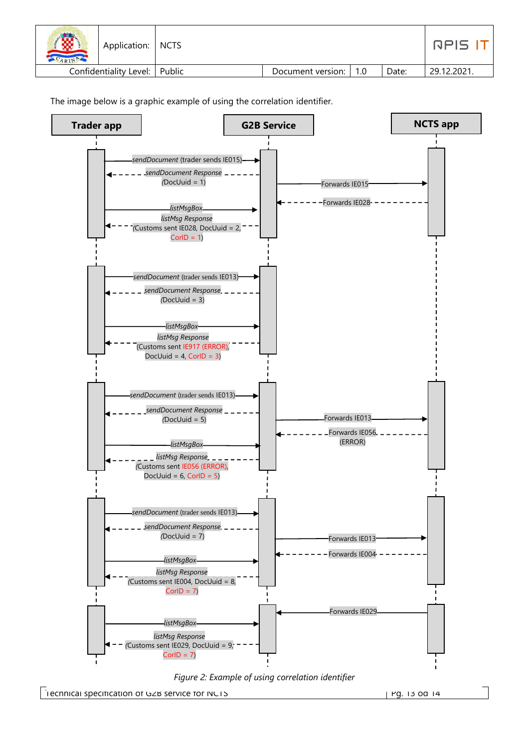| 3<br>Application:   NCTS<br>CARINA |                   |             |       | NPIS.       |
|------------------------------------|-------------------|-------------|-------|-------------|
| Confidentiality Level:   Public    | Document version: | $\vert$ 1.0 | Date: | 29.12.2021. |

The image below is a graphic example of using the correlation identifier.





Technical specification of G2B service for NCTS Pg. 13 od 14